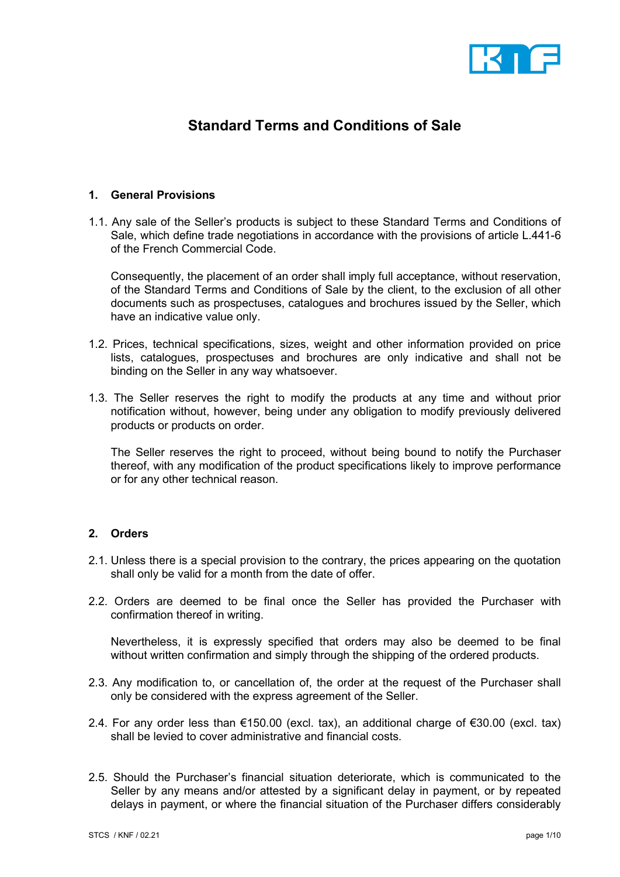

# Standard Terms and Conditions of Sale

## 1. General Provisions

1.1. Any sale of the Seller's products is subject to these Standard Terms and Conditions of Sale, which define trade negotiations in accordance with the provisions of article L.441-6 of the French Commercial Code.

 Consequently, the placement of an order shall imply full acceptance, without reservation, of the Standard Terms and Conditions of Sale by the client, to the exclusion of all other documents such as prospectuses, catalogues and brochures issued by the Seller, which have an indicative value only.

- 1.2. Prices, technical specifications, sizes, weight and other information provided on price lists, catalogues, prospectuses and brochures are only indicative and shall not be binding on the Seller in any way whatsoever.
- 1.3. The Seller reserves the right to modify the products at any time and without prior notification without, however, being under any obligation to modify previously delivered products or products on order.

The Seller reserves the right to proceed, without being bound to notify the Purchaser thereof, with any modification of the product specifications likely to improve performance or for any other technical reason.

## 2. Orders

- 2.1. Unless there is a special provision to the contrary, the prices appearing on the quotation shall only be valid for a month from the date of offer.
- 2.2. Orders are deemed to be final once the Seller has provided the Purchaser with confirmation thereof in writing.

 Nevertheless, it is expressly specified that orders may also be deemed to be final without written confirmation and simply through the shipping of the ordered products.

- 2.3. Any modification to, or cancellation of, the order at the request of the Purchaser shall only be considered with the express agreement of the Seller.
- 2.4. For any order less than €150.00 (excl. tax), an additional charge of €30.00 (excl. tax) shall be levied to cover administrative and financial costs.
- 2.5. Should the Purchaser's financial situation deteriorate, which is communicated to the Seller by any means and/or attested by a significant delay in payment, or by repeated delays in payment, or where the financial situation of the Purchaser differs considerably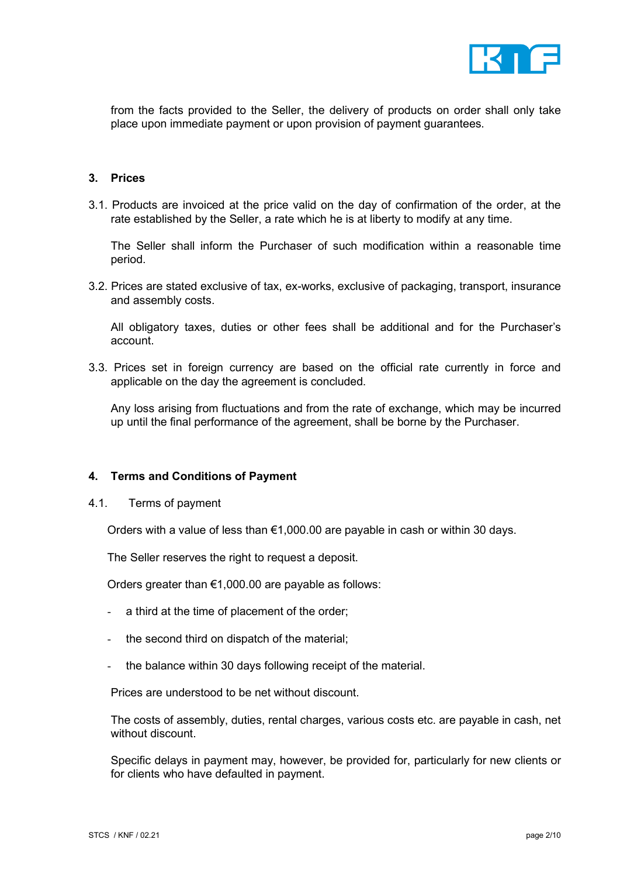

from the facts provided to the Seller, the delivery of products on order shall only take place upon immediate payment or upon provision of payment guarantees.

#### 3. Prices

3.1. Products are invoiced at the price valid on the day of confirmation of the order, at the rate established by the Seller, a rate which he is at liberty to modify at any time.

 The Seller shall inform the Purchaser of such modification within a reasonable time period.

3.2. Prices are stated exclusive of tax, ex-works, exclusive of packaging, transport, insurance and assembly costs.

 All obligatory taxes, duties or other fees shall be additional and for the Purchaser's account.

3.3. Prices set in foreign currency are based on the official rate currently in force and applicable on the day the agreement is concluded.

 Any loss arising from fluctuations and from the rate of exchange, which may be incurred up until the final performance of the agreement, shall be borne by the Purchaser.

#### 4. Terms and Conditions of Payment

4.1. Terms of payment

Orders with a value of less than  $€1,000.00$  are payable in cash or within 30 days.

The Seller reserves the right to request a deposit.

Orders greater than €1,000.00 are payable as follows:

- a third at the time of placement of the order;
- the second third on dispatch of the material;
- the balance within 30 days following receipt of the material.

Prices are understood to be net without discount.

 The costs of assembly, duties, rental charges, various costs etc. are payable in cash, net without discount.

 Specific delays in payment may, however, be provided for, particularly for new clients or for clients who have defaulted in payment.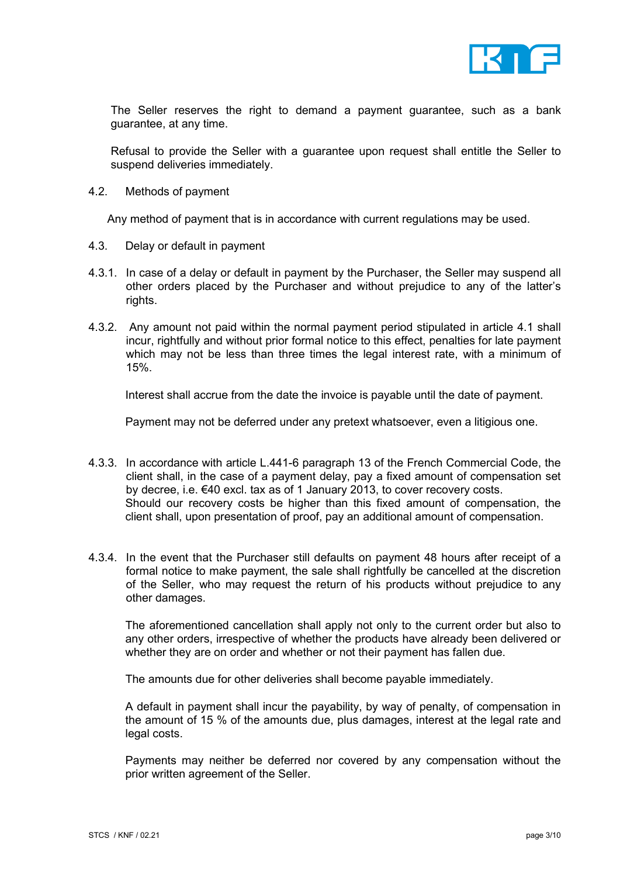

 The Seller reserves the right to demand a payment guarantee, such as a bank guarantee, at any time.

 Refusal to provide the Seller with a guarantee upon request shall entitle the Seller to suspend deliveries immediately.

4.2. Methods of payment

Any method of payment that is in accordance with current regulations may be used.

- 4.3. Delay or default in payment
- 4.3.1. In case of a delay or default in payment by the Purchaser, the Seller may suspend all other orders placed by the Purchaser and without prejudice to any of the latter's rights.
- 4.3.2. Any amount not paid within the normal payment period stipulated in article 4.1 shall incur, rightfully and without prior formal notice to this effect, penalties for late payment which may not be less than three times the legal interest rate, with a minimum of 15%.

Interest shall accrue from the date the invoice is payable until the date of payment.

Payment may not be deferred under any pretext whatsoever, even a litigious one.

- 4.3.3. In accordance with article L.441-6 paragraph 13 of the French Commercial Code, the client shall, in the case of a payment delay, pay a fixed amount of compensation set by decree, i.e. €40 excl. tax as of 1 January 2013, to cover recovery costs. Should our recovery costs be higher than this fixed amount of compensation, the client shall, upon presentation of proof, pay an additional amount of compensation.
- 4.3.4. In the event that the Purchaser still defaults on payment 48 hours after receipt of a formal notice to make payment, the sale shall rightfully be cancelled at the discretion of the Seller, who may request the return of his products without prejudice to any other damages.

The aforementioned cancellation shall apply not only to the current order but also to any other orders, irrespective of whether the products have already been delivered or whether they are on order and whether or not their payment has fallen due.

The amounts due for other deliveries shall become payable immediately.

A default in payment shall incur the payability, by way of penalty, of compensation in the amount of 15 % of the amounts due, plus damages, interest at the legal rate and legal costs.

Payments may neither be deferred nor covered by any compensation without the prior written agreement of the Seller.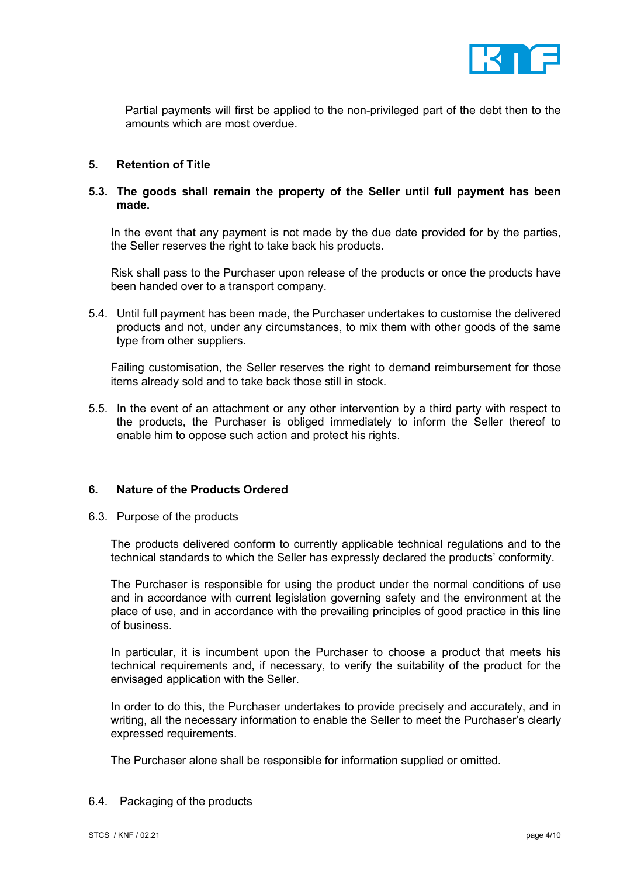

Partial payments will first be applied to the non-privileged part of the debt then to the amounts which are most overdue.

#### 5. Retention of Title

## 5.3. The goods shall remain the property of the Seller until full payment has been made.

In the event that any payment is not made by the due date provided for by the parties, the Seller reserves the right to take back his products.

Risk shall pass to the Purchaser upon release of the products or once the products have been handed over to a transport company.

5.4. Until full payment has been made, the Purchaser undertakes to customise the delivered products and not, under any circumstances, to mix them with other goods of the same type from other suppliers.

Failing customisation, the Seller reserves the right to demand reimbursement for those items already sold and to take back those still in stock.

5.5. In the event of an attachment or any other intervention by a third party with respect to the products, the Purchaser is obliged immediately to inform the Seller thereof to enable him to oppose such action and protect his rights.

#### 6. Nature of the Products Ordered

6.3. Purpose of the products

The products delivered conform to currently applicable technical regulations and to the technical standards to which the Seller has expressly declared the products' conformity.

The Purchaser is responsible for using the product under the normal conditions of use and in accordance with current legislation governing safety and the environment at the place of use, and in accordance with the prevailing principles of good practice in this line of business.

In particular, it is incumbent upon the Purchaser to choose a product that meets his technical requirements and, if necessary, to verify the suitability of the product for the envisaged application with the Seller.

In order to do this, the Purchaser undertakes to provide precisely and accurately, and in writing, all the necessary information to enable the Seller to meet the Purchaser's clearly expressed requirements.

The Purchaser alone shall be responsible for information supplied or omitted.

6.4. Packaging of the products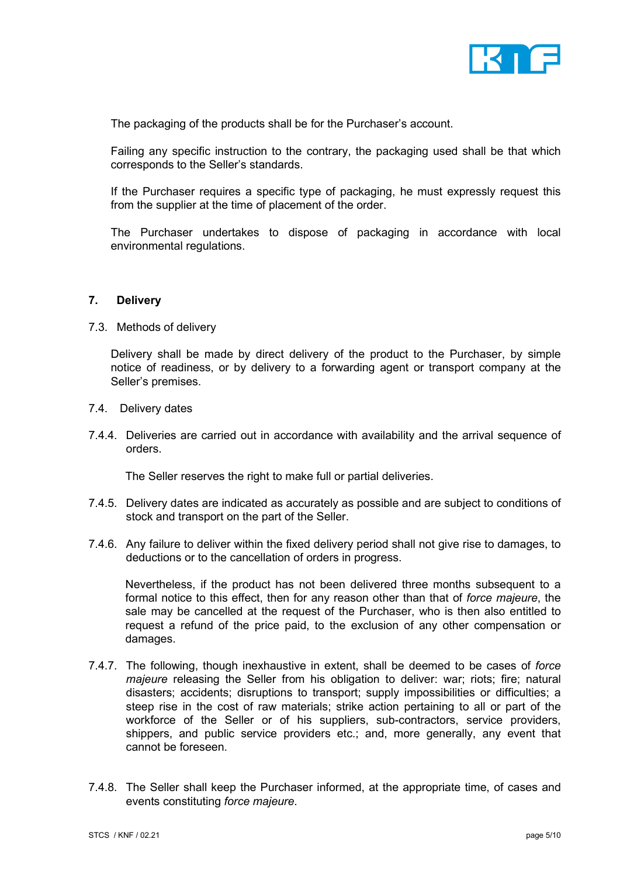

The packaging of the products shall be for the Purchaser's account.

Failing any specific instruction to the contrary, the packaging used shall be that which corresponds to the Seller's standards.

If the Purchaser requires a specific type of packaging, he must expressly request this from the supplier at the time of placement of the order.

The Purchaser undertakes to dispose of packaging in accordance with local environmental regulations.

## 7. Delivery

7.3. Methods of delivery

Delivery shall be made by direct delivery of the product to the Purchaser, by simple notice of readiness, or by delivery to a forwarding agent or transport company at the Seller's premises.

- 7.4. Delivery dates
- 7.4.4. Deliveries are carried out in accordance with availability and the arrival sequence of orders.

The Seller reserves the right to make full or partial deliveries.

- 7.4.5. Delivery dates are indicated as accurately as possible and are subject to conditions of stock and transport on the part of the Seller.
- 7.4.6. Any failure to deliver within the fixed delivery period shall not give rise to damages, to deductions or to the cancellation of orders in progress.

Nevertheless, if the product has not been delivered three months subsequent to a formal notice to this effect, then for any reason other than that of force majeure, the sale may be cancelled at the request of the Purchaser, who is then also entitled to request a refund of the price paid, to the exclusion of any other compensation or damages.

- 7.4.7. The following, though inexhaustive in extent, shall be deemed to be cases of force majeure releasing the Seller from his obligation to deliver: war; riots; fire; natural disasters; accidents; disruptions to transport; supply impossibilities or difficulties; a steep rise in the cost of raw materials; strike action pertaining to all or part of the workforce of the Seller or of his suppliers, sub-contractors, service providers, shippers, and public service providers etc.; and, more generally, any event that cannot be foreseen.
- 7.4.8. The Seller shall keep the Purchaser informed, at the appropriate time, of cases and events constituting force majeure.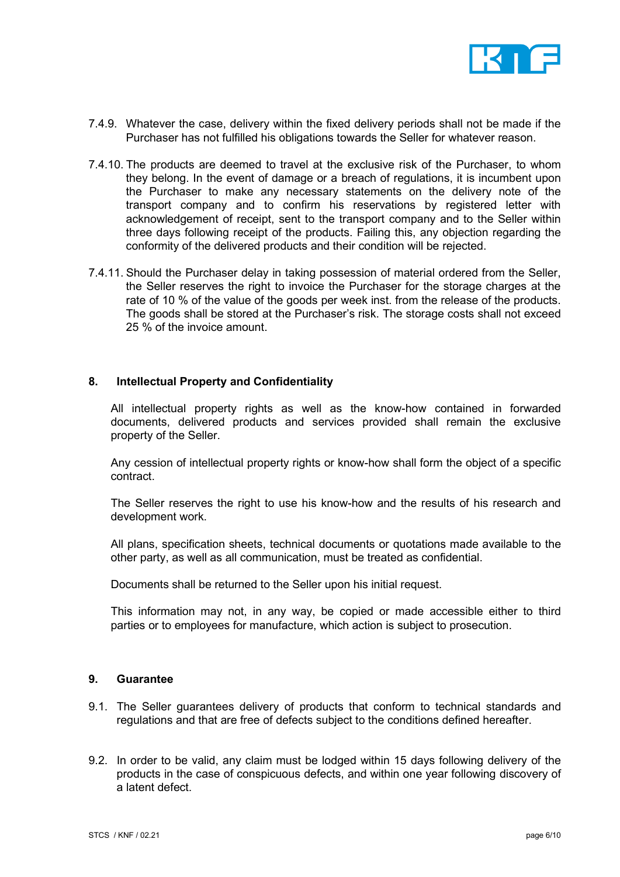

- 7.4.9. Whatever the case, delivery within the fixed delivery periods shall not be made if the Purchaser has not fulfilled his obligations towards the Seller for whatever reason.
- 7.4.10. The products are deemed to travel at the exclusive risk of the Purchaser, to whom they belong. In the event of damage or a breach of regulations, it is incumbent upon the Purchaser to make any necessary statements on the delivery note of the transport company and to confirm his reservations by registered letter with acknowledgement of receipt, sent to the transport company and to the Seller within three days following receipt of the products. Failing this, any objection regarding the conformity of the delivered products and their condition will be rejected.
- 7.4.11. Should the Purchaser delay in taking possession of material ordered from the Seller, the Seller reserves the right to invoice the Purchaser for the storage charges at the rate of 10 % of the value of the goods per week inst. from the release of the products. The goods shall be stored at the Purchaser's risk. The storage costs shall not exceed 25 % of the invoice amount.

#### 8. Intellectual Property and Confidentiality

All intellectual property rights as well as the know-how contained in forwarded documents, delivered products and services provided shall remain the exclusive property of the Seller.

Any cession of intellectual property rights or know-how shall form the object of a specific contract.

The Seller reserves the right to use his know-how and the results of his research and development work.

All plans, specification sheets, technical documents or quotations made available to the other party, as well as all communication, must be treated as confidential.

Documents shall be returned to the Seller upon his initial request.

This information may not, in any way, be copied or made accessible either to third parties or to employees for manufacture, which action is subject to prosecution.

## 9. Guarantee

- 9.1. The Seller guarantees delivery of products that conform to technical standards and regulations and that are free of defects subject to the conditions defined hereafter.
- 9.2. In order to be valid, any claim must be lodged within 15 days following delivery of the products in the case of conspicuous defects, and within one year following discovery of a latent defect.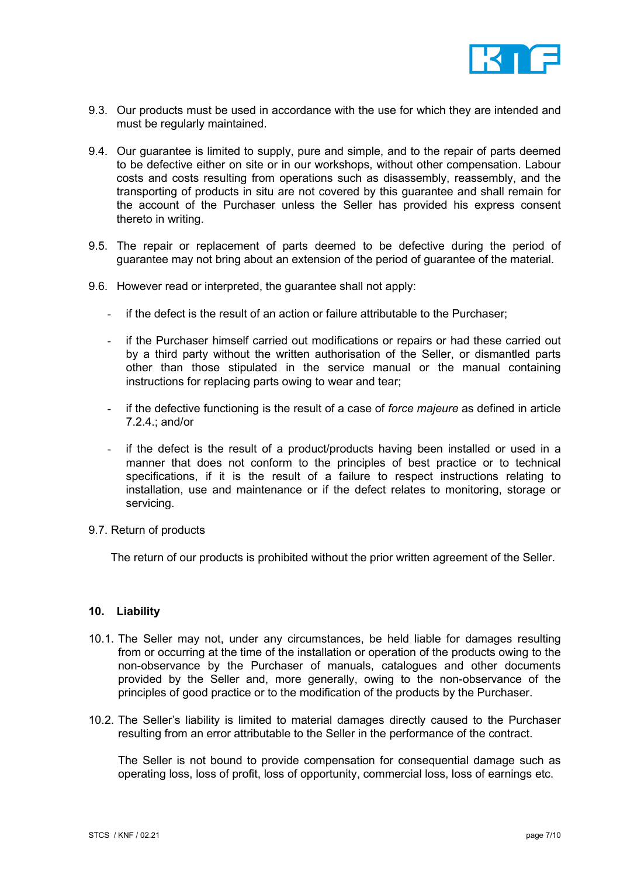

- 9.3. Our products must be used in accordance with the use for which they are intended and must be regularly maintained.
- 9.4. Our guarantee is limited to supply, pure and simple, and to the repair of parts deemed to be defective either on site or in our workshops, without other compensation. Labour costs and costs resulting from operations such as disassembly, reassembly, and the transporting of products in situ are not covered by this guarantee and shall remain for the account of the Purchaser unless the Seller has provided his express consent thereto in writing.
- 9.5. The repair or replacement of parts deemed to be defective during the period of guarantee may not bring about an extension of the period of guarantee of the material.
- 9.6. However read or interpreted, the guarantee shall not apply:
	- if the defect is the result of an action or failure attributable to the Purchaser;
	- if the Purchaser himself carried out modifications or repairs or had these carried out by a third party without the written authorisation of the Seller, or dismantled parts other than those stipulated in the service manual or the manual containing instructions for replacing parts owing to wear and tear;
	- if the defective functioning is the result of a case of force majeure as defined in article 7.2.4.; and/or
	- if the defect is the result of a product/products having been installed or used in a manner that does not conform to the principles of best practice or to technical specifications, if it is the result of a failure to respect instructions relating to installation, use and maintenance or if the defect relates to monitoring, storage or servicing.
- 9.7. Return of products

The return of our products is prohibited without the prior written agreement of the Seller.

#### 10. Liability

- 10.1. The Seller may not, under any circumstances, be held liable for damages resulting from or occurring at the time of the installation or operation of the products owing to the non-observance by the Purchaser of manuals, catalogues and other documents provided by the Seller and, more generally, owing to the non-observance of the principles of good practice or to the modification of the products by the Purchaser.
- 10.2. The Seller's liability is limited to material damages directly caused to the Purchaser resulting from an error attributable to the Seller in the performance of the contract.

The Seller is not bound to provide compensation for consequential damage such as operating loss, loss of profit, loss of opportunity, commercial loss, loss of earnings etc.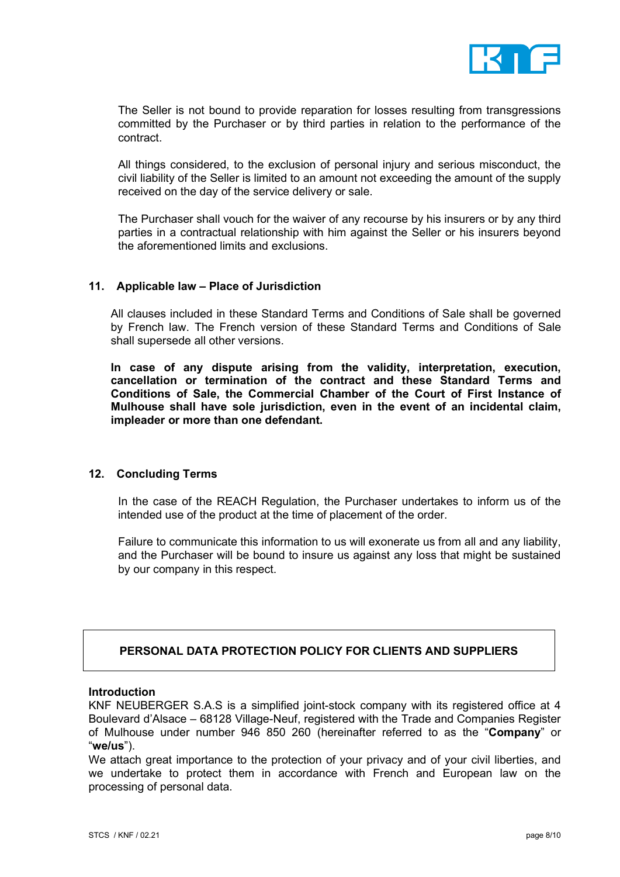

 The Seller is not bound to provide reparation for losses resulting from transgressions committed by the Purchaser or by third parties in relation to the performance of the contract.

 All things considered, to the exclusion of personal injury and serious misconduct, the civil liability of the Seller is limited to an amount not exceeding the amount of the supply received on the day of the service delivery or sale.

 The Purchaser shall vouch for the waiver of any recourse by his insurers or by any third parties in a contractual relationship with him against the Seller or his insurers beyond the aforementioned limits and exclusions.

## 11. Applicable law – Place of Jurisdiction

All clauses included in these Standard Terms and Conditions of Sale shall be governed by French law. The French version of these Standard Terms and Conditions of Sale shall supersede all other versions.

In case of any dispute arising from the validity, interpretation, execution, cancellation or termination of the contract and these Standard Terms and Conditions of Sale, the Commercial Chamber of the Court of First Instance of Mulhouse shall have sole jurisdiction, even in the event of an incidental claim, impleader or more than one defendant.

#### 12. Concluding Terms

In the case of the REACH Regulation, the Purchaser undertakes to inform us of the intended use of the product at the time of placement of the order.

Failure to communicate this information to us will exonerate us from all and any liability, and the Purchaser will be bound to insure us against any loss that might be sustained by our company in this respect.

## PERSONAL DATA PROTECTION POLICY FOR CLIENTS AND SUPPLIERS

#### Introduction

KNF NEUBERGER S.A.S is a simplified joint-stock company with its registered office at 4 Boulevard d'Alsace – 68128 Village-Neuf, registered with the Trade and Companies Register of Mulhouse under number 946 850 260 (hereinafter referred to as the "Company" or "we/us").

We attach great importance to the protection of your privacy and of your civil liberties, and we undertake to protect them in accordance with French and European law on the processing of personal data.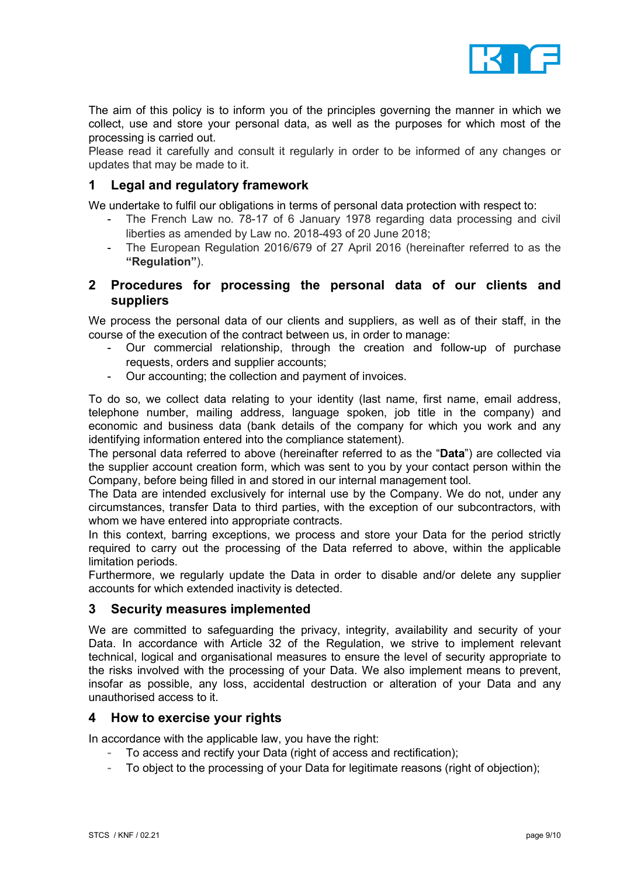

The aim of this policy is to inform you of the principles governing the manner in which we collect, use and store your personal data, as well as the purposes for which most of the processing is carried out.

Please read it carefully and consult it regularly in order to be informed of any changes or updates that may be made to it.

# 1 Legal and regulatory framework

We undertake to fulfil our obligations in terms of personal data protection with respect to:

- The French Law no. 78-17 of 6 January 1978 regarding data processing and civil liberties as amended by Law no. 2018-493 of 20 June 2018;
- The European Regulation 2016/679 of 27 April 2016 (hereinafter referred to as the "Regulation").

## 2 Procedures for processing the personal data of our clients and suppliers

We process the personal data of our clients and suppliers, as well as of their staff, in the course of the execution of the contract between us, in order to manage:

- Our commercial relationship, through the creation and follow-up of purchase requests, orders and supplier accounts;
- Our accounting; the collection and payment of invoices.

To do so, we collect data relating to your identity (last name, first name, email address, telephone number, mailing address, language spoken, job title in the company) and economic and business data (bank details of the company for which you work and any identifying information entered into the compliance statement).

The personal data referred to above (hereinafter referred to as the "Data") are collected via the supplier account creation form, which was sent to you by your contact person within the Company, before being filled in and stored in our internal management tool.

The Data are intended exclusively for internal use by the Company. We do not, under any circumstances, transfer Data to third parties, with the exception of our subcontractors, with whom we have entered into appropriate contracts.

In this context, barring exceptions, we process and store your Data for the period strictly required to carry out the processing of the Data referred to above, within the applicable limitation periods.

Furthermore, we regularly update the Data in order to disable and/or delete any supplier accounts for which extended inactivity is detected.

## 3 Security measures implemented

We are committed to safeguarding the privacy, integrity, availability and security of your Data. In accordance with Article 32 of the Regulation, we strive to implement relevant technical, logical and organisational measures to ensure the level of security appropriate to the risks involved with the processing of your Data. We also implement means to prevent, insofar as possible, any loss, accidental destruction or alteration of your Data and any unauthorised access to it.

## 4 How to exercise your rights

In accordance with the applicable law, you have the right:

- To access and rectify your Data (right of access and rectification);
- To object to the processing of your Data for legitimate reasons (right of objection);